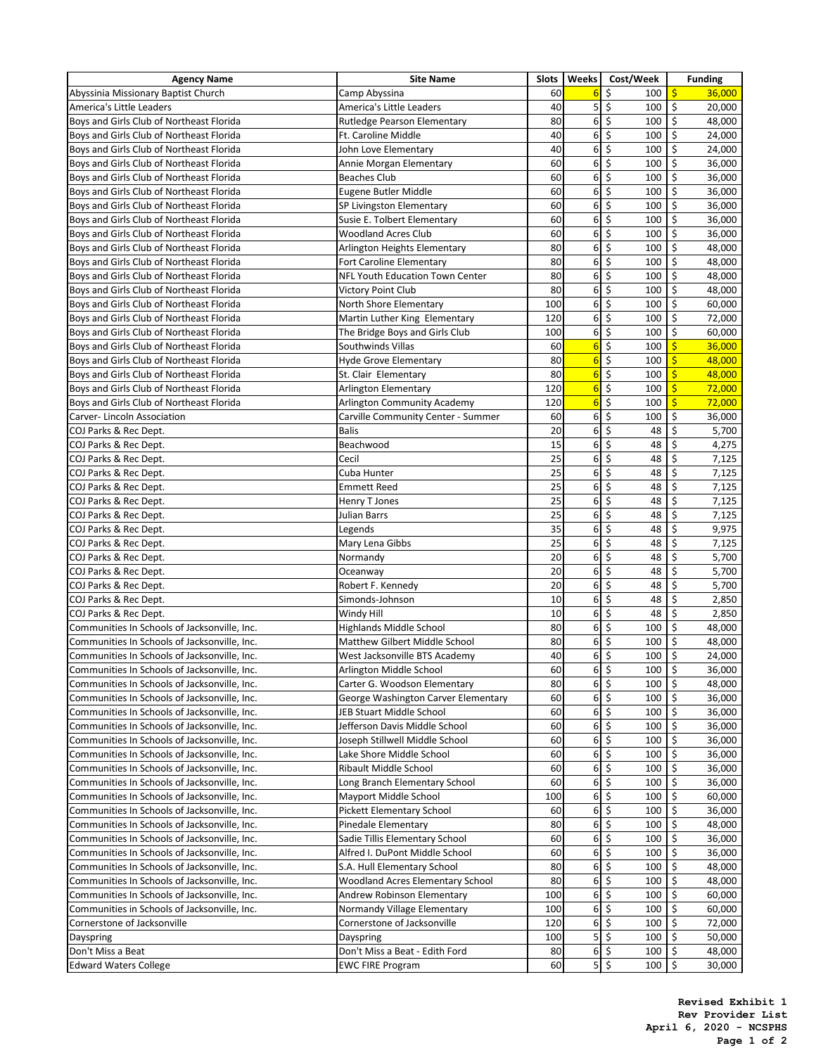| <b>Agency Name</b>                           | <b>Site Name</b>                        | <b>Slots</b>    | <b>Weeks</b>    | Cost/Week                | <b>Funding</b>                     |
|----------------------------------------------|-----------------------------------------|-----------------|-----------------|--------------------------|------------------------------------|
| Abyssinia Missionary Baptist Church          | Camp Abyssina                           | 60              | 6               | \$<br>100                | $\frac{1}{2}$<br>36,000            |
| America's Little Leaders                     | America's Little Leaders                | 40              | 5               | \$<br>100                | $\zeta$<br>20,000                  |
| Boys and Girls Club of Northeast Florida     | Rutledge Pearson Elementary             | 80              | 6               | \$<br>100                | \$<br>48,000                       |
| Boys and Girls Club of Northeast Florida     | Ft. Caroline Middle                     | 40              | 6               | \$<br>100                | $\ddot{\varsigma}$<br>24,000       |
| Boys and Girls Club of Northeast Florida     | John Love Elementary                    | 40              | 6               | \$<br>100                | $\zeta$<br>24,000                  |
| Boys and Girls Club of Northeast Florida     | Annie Morgan Elementary                 | 60              | 6               | \$<br>100                | $\zeta$<br>36,000                  |
| Boys and Girls Club of Northeast Florida     | <b>Beaches Club</b>                     | 60              | 6               | \$<br>100                | \$<br>36,000                       |
| Boys and Girls Club of Northeast Florida     | Eugene Butler Middle                    | 60              | 6               | \$<br>100                | $\ddot{\varsigma}$<br>36,000       |
| Boys and Girls Club of Northeast Florida     | SP Livingston Elementary                | 60              | 6               | \$<br>100                | \$<br>36,000                       |
| Boys and Girls Club of Northeast Florida     | Susie E. Tolbert Elementary             | 60              | 6               | \$<br>100                | $\zeta$<br>36,000                  |
| Boys and Girls Club of Northeast Florida     | <b>Woodland Acres Club</b>              | 60              | 6               | \$<br>100                | $\zeta$<br>36,000                  |
| Boys and Girls Club of Northeast Florida     | Arlington Heights Elementary            | 80              | 6               | \$<br>100                | \$<br>48,000                       |
| Boys and Girls Club of Northeast Florida     | <b>Fort Caroline Elementary</b>         | 80 <sub>0</sub> | $6 \mid$        | \$<br>100                | $\zeta$<br>48,000                  |
| Boys and Girls Club of Northeast Florida     | <b>NFL Youth Education Town Center</b>  | 80              | 6               | \$<br>100                | $\zeta$<br>48,000                  |
| Boys and Girls Club of Northeast Florida     | Victory Point Club                      | 80 <sub>0</sub> | 6               | \$<br>100                | $\ddot{\varsigma}$<br>48,000       |
| Boys and Girls Club of Northeast Florida     | North Shore Elementary                  | 100             | $6 \mid$        | \$<br>100                | $\zeta$<br>60,000                  |
| Boys and Girls Club of Northeast Florida     | Martin Luther King Elementary           | 120             | 6               | \$<br>100                | $\zeta$<br>72,000                  |
| Boys and Girls Club of Northeast Florida     | The Bridge Boys and Girls Club          | 100             | 6               | \$<br>100                | $\zeta$<br>60,000                  |
| Boys and Girls Club of Northeast Florida     | Southwinds Villas                       | 60              | $6\phantom{1}6$ | \$<br>100                | \$<br>36,000                       |
| Boys and Girls Club of Northeast Florida     | <b>Hyde Grove Elementary</b>            | 80              | $6\overline{6}$ | \$<br>100                | \$<br>48,000                       |
| Boys and Girls Club of Northeast Florida     | St. Clair Elementary                    | 80              | $6\overline{6}$ | \$<br>100                | \$<br>48,000                       |
| Boys and Girls Club of Northeast Florida     | <b>Arlington Elementary</b>             | 120             | $6\overline{6}$ | \$<br>100                | $\varsigma$<br>72,000              |
| Boys and Girls Club of Northeast Florida     | <b>Arlington Community Academy</b>      | 120             | $6\overline{6}$ | \$<br>100                | \$<br>72,000                       |
| Carver-Lincoln Association                   | Carville Community Center - Summer      | 60              | 6               | \$<br>100                | $\zeta$<br>36,000                  |
| COJ Parks & Rec Dept.                        | <b>Balis</b>                            | 20              | 6               | \$<br>48                 | \$<br>5,700                        |
| COJ Parks & Rec Dept.                        | Beachwood                               | 15              | 6               | \$<br>48                 | \$<br>4,275                        |
| COJ Parks & Rec Dept.                        | Cecil                                   | 25              | 6               | \$<br>48                 | \$<br>7,125                        |
| COJ Parks & Rec Dept.                        | Cuba Hunter                             | 25              | 6               | \$<br>48                 | \$<br>7,125                        |
| COJ Parks & Rec Dept.                        | <b>Emmett Reed</b>                      | 25              | 6               | \$<br>48                 | $\zeta$<br>7,125                   |
| COJ Parks & Rec Dept.                        | Henry T Jones                           | 25              | $6\vert$        | $\zeta$<br>48            | $\zeta$<br>7,125                   |
| COJ Parks & Rec Dept.                        | <b>Julian Barrs</b>                     | 25              | $6 \mid$        | \$<br>48                 | \$<br>7,125                        |
| COJ Parks & Rec Dept.                        | Legends                                 | 35              | 6               | \$<br>48                 | $\zeta$<br>9,975                   |
| COJ Parks & Rec Dept.                        | Mary Lena Gibbs                         | 25              | 6 <sup>1</sup>  | $\zeta$<br>48            | $\overline{\mathcal{S}}$<br>7,125  |
| COJ Parks & Rec Dept.                        | Normandy                                | 20              | 6               | \$<br>48                 | \$<br>5,700                        |
| COJ Parks & Rec Dept.                        | Oceanway                                | 20              | $6 \mid$        | \$<br>48                 | \$<br>5,700                        |
| COJ Parks & Rec Dept.                        | Robert F. Kennedy                       | 20              | 6               | \$<br>48                 | $\overline{\mathcal{S}}$<br>5,700  |
| COJ Parks & Rec Dept.                        | Simonds-Johnson                         | 10              | 6               | \$<br>48                 | \$<br>2,850                        |
| COJ Parks & Rec Dept.                        | Windy Hill                              | 10              | 6               | \$<br>48                 | \$<br>2,850                        |
| Communities In Schools of Jacksonville, Inc. | <b>Highlands Middle School</b>          | 80 <sub>0</sub> | 6               | \$<br>100                | $\zeta$<br>48,000                  |
| Communities In Schools of Jacksonville, Inc. | Matthew Gilbert Middle School           | 80              | 6               | $\zeta$<br>100           | $\zeta$<br>48,000                  |
| Communities In Schools of Jacksonville, Inc. | West Jacksonville BTS Academy           | 40              | 6               | \$<br>100                | $\zeta$<br>24,000                  |
| Communities In Schools of Jacksonville, Inc. | Arlington Middle School                 | 60              | 6               | \$<br>100                | $\zeta$<br>36,000                  |
| Communities In Schools of Jacksonville, Inc. | Carter G. Woodson Elementary            | 80              | 6               | \$<br>100                | \$<br>48,000                       |
| Communities In Schools of Jacksonville, Inc. | George Washington Carver Elementary     | 60              | 6               | \$<br>100                | $\zeta$<br>36,000                  |
| Communities In Schools of Jacksonville, Inc. | JEB Stuart Middle School                | 60              | 6               | \$<br>100                | $\zeta$<br>36,000                  |
| Communities In Schools of Jacksonville, Inc. | Jefferson Davis Middle School           | 60              | 6               | \$<br>100                | $\zeta$<br>36,000                  |
| Communities In Schools of Jacksonville, Inc. | Joseph Stillwell Middle School          | 60              | $6 \mid$        | \$<br>100                | $\zeta$<br>36,000                  |
| Communities In Schools of Jacksonville, Inc. | Lake Shore Middle School                | 60              | 6               | \$<br>100                | $\zeta$<br>36,000                  |
| Communities In Schools of Jacksonville, Inc. | Ribault Middle School                   | 60              | 6               | \$<br>100                | \$<br>36,000                       |
| Communities In Schools of Jacksonville, Inc. | Long Branch Elementary School           | 60              | $6 \mid$        | $\overline{\xi}$<br>100  | $\overline{\xi}$<br>36,000         |
| Communities In Schools of Jacksonville, Inc. | Mayport Middle School                   | 100             | 6               | \$<br>100                | $\zeta$<br>60,000                  |
| Communities In Schools of Jacksonville, Inc. | <b>Pickett Elementary School</b>        | 60              | $6 \mid$        | \$<br>100                | $\zeta$<br>36,000                  |
| Communities In Schools of Jacksonville, Inc. | <b>Pinedale Elementary</b>              | 80              | 6               | \$<br>100                | $\zeta$<br>48,000                  |
| Communities In Schools of Jacksonville, Inc. | Sadie Tillis Elementary School          | 60              | 6               | \$<br>100                | $\ddot{\varsigma}$<br>36,000       |
| Communities In Schools of Jacksonville, Inc. | Alfred I. DuPont Middle School          | 60              | $6 \mid$        | \$<br>100                | $\zeta$<br>36,000                  |
| Communities In Schools of Jacksonville, Inc. | S.A. Hull Elementary School             | 80              | 6               | \$<br>100                | $\zeta$<br>48,000                  |
| Communities In Schools of Jacksonville, Inc. | <b>Woodland Acres Elementary School</b> | 80              | 6               | \$<br>100                | $\zeta$<br>48,000                  |
| Communities In Schools of Jacksonville, Inc. | Andrew Robinson Elementary              | 100             | 6               | \$<br>100                | $\zeta$<br>60,000                  |
| Communities in Schools of Jacksonville, Inc. | Normandy Village Elementary             | 100             | 6               | \$<br>100                | $\zeta$<br>60,000                  |
| Cornerstone of Jacksonville                  | Cornerstone of Jacksonville             | 120             | $6 \mid$        | \$<br>100                | $\overline{\mathcal{S}}$<br>72,000 |
| Dayspring                                    | Dayspring                               | 100             | 5 <sup>1</sup>  | \$<br>100                | $\vert \mathsf{S} \vert$<br>50,000 |
| Don't Miss a Beat                            | Don't Miss a Beat - Edith Ford          | 80              |                 | $6 \mid \xi$<br>100   \$ | 48,000                             |
| <b>Edward Waters College</b>                 | <b>EWC FIRE Program</b>                 | 60              |                 | $5$ \$<br>100   \$       | 30,000                             |